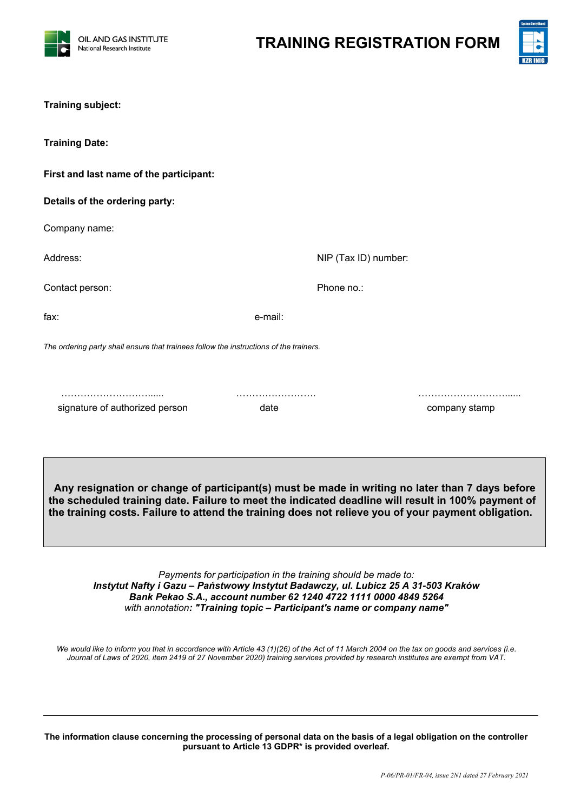

**TRAINING REGISTRATION FORM**



| <b>Training subject:</b>                                                               |         |                      |               |
|----------------------------------------------------------------------------------------|---------|----------------------|---------------|
| <b>Training Date:</b>                                                                  |         |                      |               |
| First and last name of the participant:                                                |         |                      |               |
| Details of the ordering party:                                                         |         |                      |               |
| Company name:                                                                          |         |                      |               |
| Address:                                                                               |         | NIP (Tax ID) number: |               |
| Contact person:                                                                        |         | Phone no.:           |               |
| fax:                                                                                   | e-mail: |                      |               |
| The ordering party shall ensure that trainees follow the instructions of the trainers. |         |                      |               |
|                                                                                        |         |                      |               |
| signature of authorized person                                                         | date    |                      | company stamp |
|                                                                                        |         |                      |               |
|                                                                                        |         |                      |               |

**Any resignation or change of participant(s) must be made in writing no later than 7 days before the scheduled training date. Failure to meet the indicated deadline will result in 100% payment of the training costs. Failure to attend the training does not relieve you of your payment obligation.**

*Payments for participation in the training should be made to: Instytut Nafty i Gazu – Państwowy Instytut Badawczy, ul. Lubicz 25 A 31-503 Kraków Bank Pekao S.A., account number 62 1240 4722 1111 0000 4849 5264 with annotation: "Training topic – Participant's name or company name"*

*We would like to inform you that in accordance with Article 43 (1)(26) of the Act of 11 March 2004 on the tax on goods and services (i.e. Journal of Laws of 2020, item 2419 of 27 November 2020) training services provided by research institutes are exempt from VAT.*

**The information clause concerning the processing of personal data on the basis of a legal obligation on the controller pursuant to Article 13 GDPR\* is provided overleaf.**